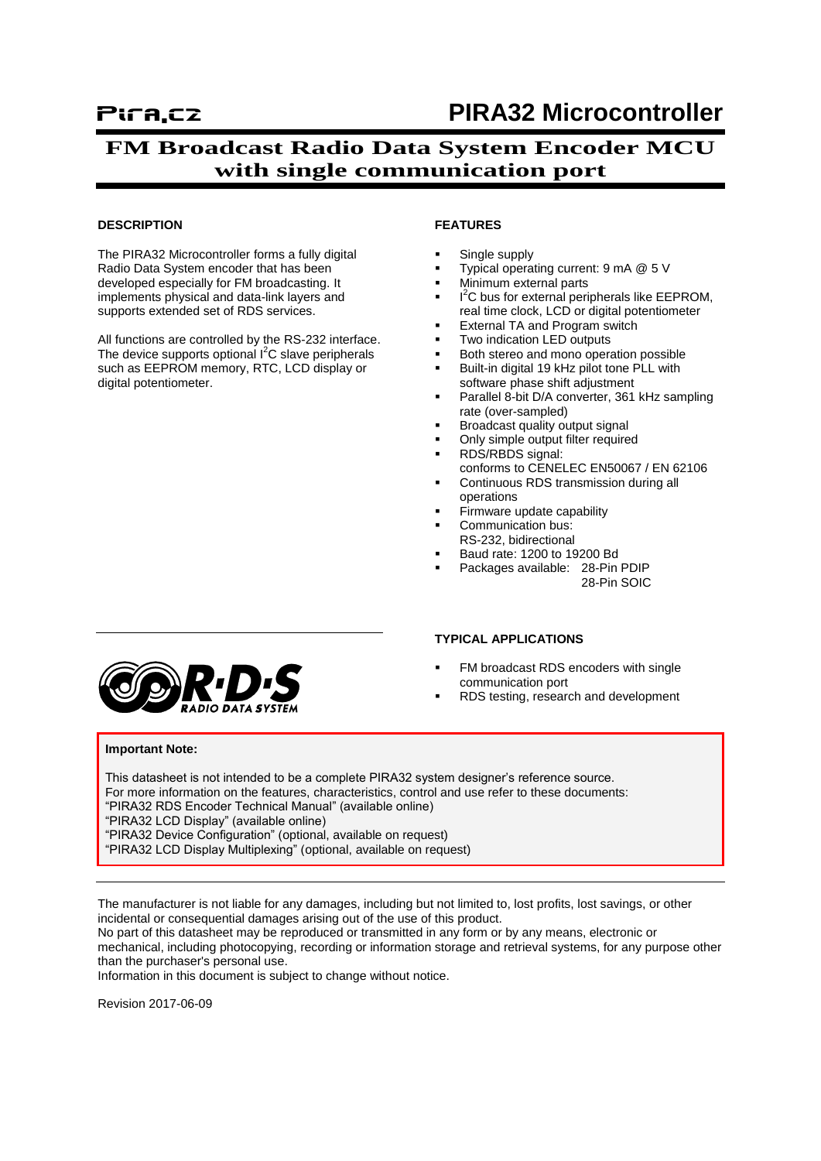# Pira.cz **PIRA32 Microcontroller**

## **FM Broadcast Radio Data System Encoder MCU with single communication port**

#### **DESCRIPTION**

The PIRA32 Microcontroller forms a fully digital Radio Data System encoder that has been developed especially for FM broadcasting. It implements physical and data-link layers and supports extended set of RDS services.

All functions are controlled by the RS-232 interface. The device supports optional  $I^2C$  slave peripherals such as EEPROM memory, RTC, LCD display or digital potentiometer.

#### **FEATURES**

- Single supply
- Typical operating current: 9 mA @ 5 V
- Minimum external parts
- $I^2C$  bus for external peripherals like EEPROM, real time clock, LCD or digital potentiometer
- External TA and Program switch
- Two indication LED outputs
- Both stereo and mono operation possible
- Built-in digital 19 kHz pilot tone PLL with software phase shift adjustment
- Parallel 8-bit D/A converter, 361 kHz sampling rate (over-sampled)
- Broadcast quality output signal
- Only simple output filter required
- RDS/RBDS signal: conforms to CENELEC EN50067 / EN 62106
- Continuous RDS transmission during all operations
- Firmware update capability
- Communication bus:
- RS-232, bidirectional
- Baud rate: 1200 to 19200 Bd
- Packages available: 28-Pin PDIP 28-Pin SOIC

#### **TYPICAL APPLICATIONS**

- FM broadcast RDS encoders with single communication port
- RDS testing, research and development

#### **Important Note:**

This datasheet is not intended to be a complete PIRA32 system designer's reference source. For more information on the features, characteristics, control and use refer to these documents: "PIRA32 RDS Encoder Technical Manual" (available online) "PIRA32 LCD Display" (available online) "PIRA32 Device Configuration" (optional, available on request) "PIRA32 LCD Display Multiplexing" (optional, available on request)

The manufacturer is not liable for any damages, including but not limited to, lost profits, lost savings, or other incidental or consequential damages arising out of the use of this product.

No part of this datasheet may be reproduced or transmitted in any form or by any means, electronic or mechanical, including photocopying, recording or information storage and retrieval systems, for any purpose other than the purchaser's personal use.

Information in this document is subject to change without notice.

Revision 2017-06-09

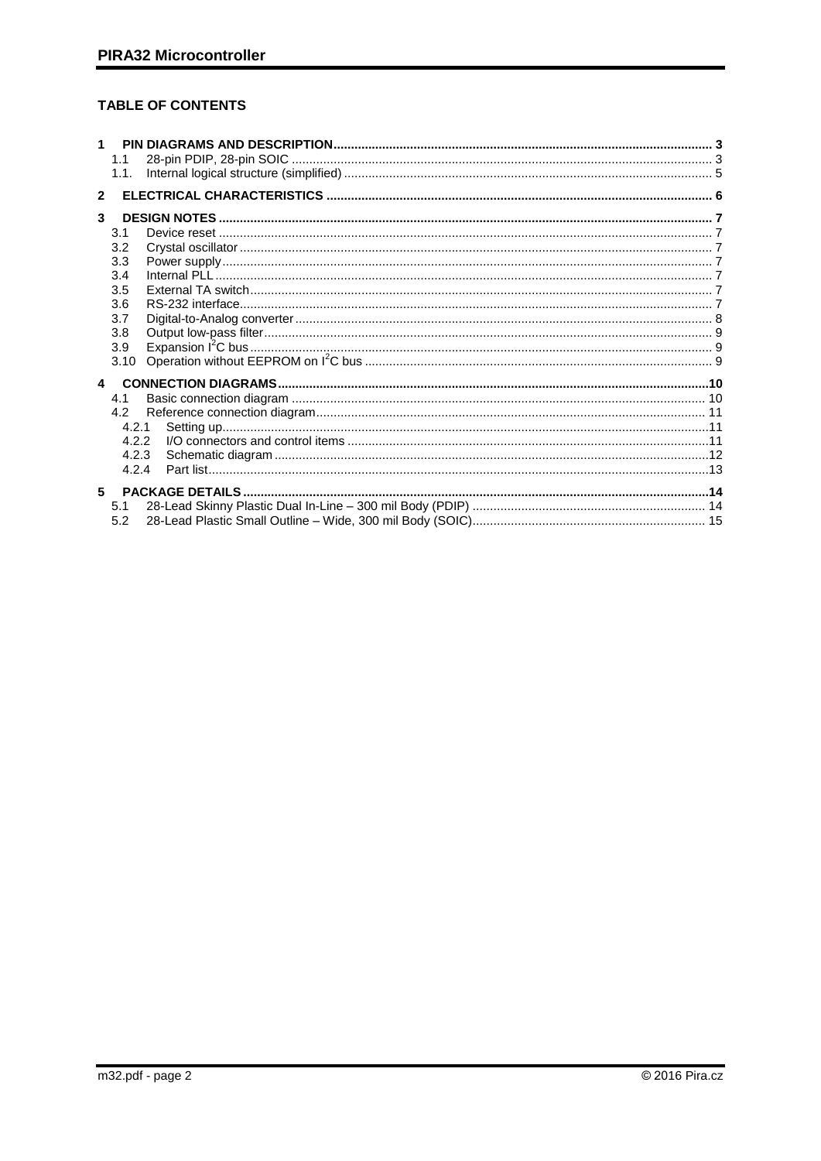## TABLE OF CONTENTS

|                  | 1.1<br>1.1.    |  |
|------------------|----------------|--|
| $\mathbf{z}$     |                |  |
| 3                |                |  |
|                  | 3.1            |  |
|                  | 3.2            |  |
|                  | 3.3            |  |
|                  | 3.4<br>3.5     |  |
|                  | 3.6            |  |
|                  | 3.7            |  |
|                  | 3.8            |  |
|                  | 3.9            |  |
|                  | 3.10           |  |
| $\blacktriangle$ |                |  |
|                  | 4.1            |  |
|                  | 42             |  |
|                  | 4.2.1<br>4.2.2 |  |
|                  | 4.2.3          |  |
|                  | 4.2.4          |  |
| 5                |                |  |
|                  | 5.1            |  |
|                  | 5.2            |  |
|                  |                |  |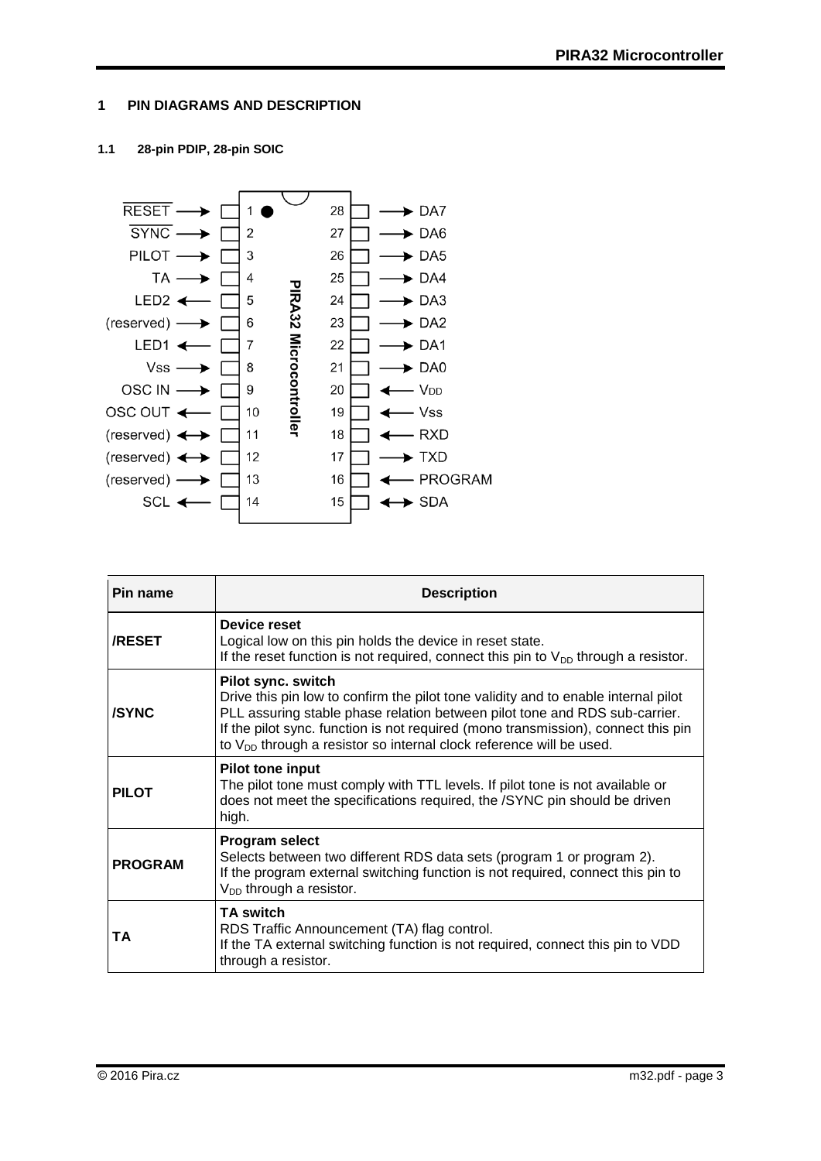## <span id="page-2-0"></span>**1 PIN DIAGRAMS AND DESCRIPTION**

## <span id="page-2-1"></span>**1.1 28-pin PDIP, 28-pin SOIC**



| Pin name       | <b>Description</b>                                                                                                                                                                                                                                                                                                                                      |  |  |  |  |
|----------------|---------------------------------------------------------------------------------------------------------------------------------------------------------------------------------------------------------------------------------------------------------------------------------------------------------------------------------------------------------|--|--|--|--|
| <b>/RESET</b>  | Device reset<br>Logical low on this pin holds the device in reset state.<br>If the reset function is not required, connect this pin to $V_{DD}$ through a resistor.                                                                                                                                                                                     |  |  |  |  |
| <b>/SYNC</b>   | Pilot sync. switch<br>Drive this pin low to confirm the pilot tone validity and to enable internal pilot<br>PLL assuring stable phase relation between pilot tone and RDS sub-carrier.<br>If the pilot sync. function is not required (mono transmission), connect this pin<br>to $V_{DD}$ through a resistor so internal clock reference will be used. |  |  |  |  |
| <b>PILOT</b>   | <b>Pilot tone input</b><br>The pilot tone must comply with TTL levels. If pilot tone is not available or<br>does not meet the specifications required, the /SYNC pin should be driven<br>high.                                                                                                                                                          |  |  |  |  |
| <b>PROGRAM</b> | <b>Program select</b><br>Selects between two different RDS data sets (program 1 or program 2).<br>If the program external switching function is not required, connect this pin to<br>$V_{DD}$ through a resistor.                                                                                                                                       |  |  |  |  |
| TA             | <b>TA switch</b><br>RDS Traffic Announcement (TA) flag control.<br>If the TA external switching function is not required, connect this pin to VDD<br>through a resistor.                                                                                                                                                                                |  |  |  |  |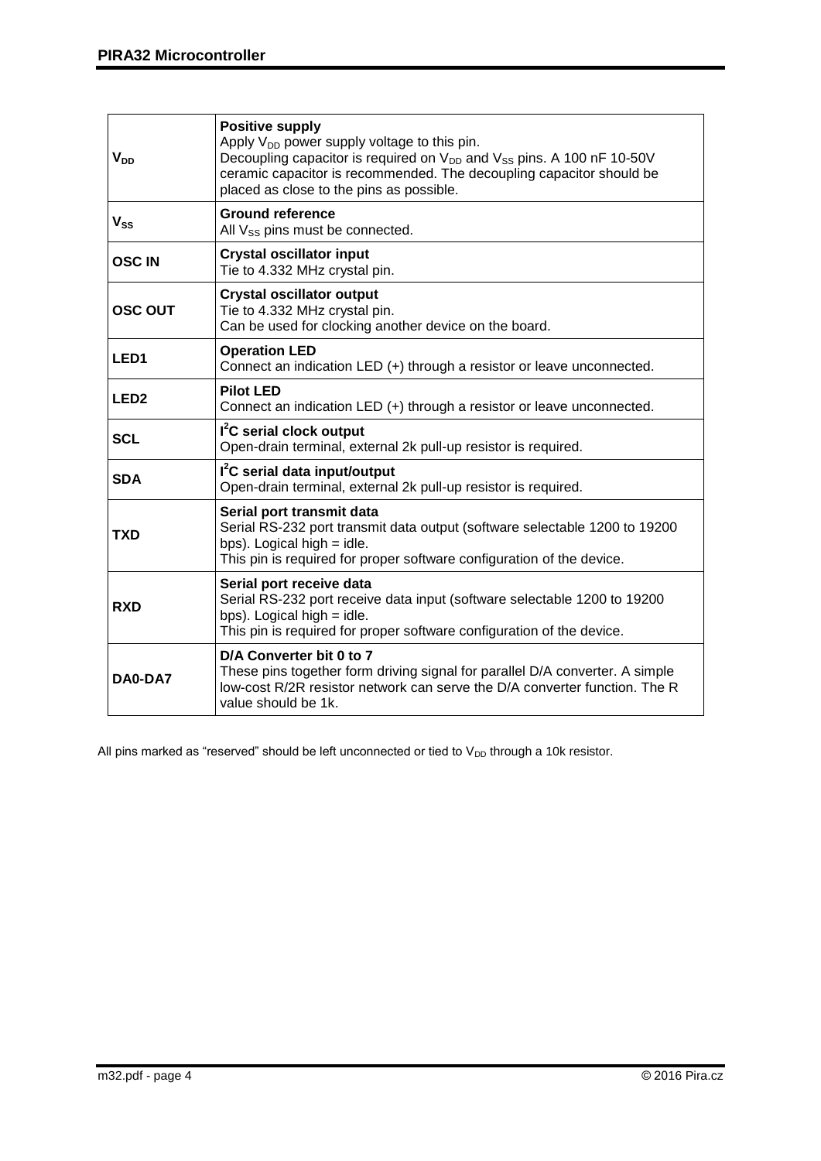| $V_{DD}$         | <b>Positive supply</b><br>Apply $V_{DD}$ power supply voltage to this pin.<br>Decoupling capacitor is required on V <sub>DD</sub> and V <sub>SS</sub> pins. A 100 nF 10-50V<br>ceramic capacitor is recommended. The decoupling capacitor should be<br>placed as close to the pins as possible. |  |  |  |  |
|------------------|-------------------------------------------------------------------------------------------------------------------------------------------------------------------------------------------------------------------------------------------------------------------------------------------------|--|--|--|--|
| $V_{SS}$         | <b>Ground reference</b><br>All $V_{SS}$ pins must be connected.                                                                                                                                                                                                                                 |  |  |  |  |
| <b>OSCIN</b>     | <b>Crystal oscillator input</b><br>Tie to 4.332 MHz crystal pin.                                                                                                                                                                                                                                |  |  |  |  |
| <b>OSC OUT</b>   | <b>Crystal oscillator output</b><br>Tie to 4.332 MHz crystal pin.<br>Can be used for clocking another device on the board.                                                                                                                                                                      |  |  |  |  |
| LED <sub>1</sub> | <b>Operation LED</b><br>Connect an indication LED (+) through a resistor or leave unconnected.                                                                                                                                                                                                  |  |  |  |  |
| LED <sub>2</sub> | <b>Pilot LED</b><br>Connect an indication LED (+) through a resistor or leave unconnected.                                                                                                                                                                                                      |  |  |  |  |
| <b>SCL</b>       | I <sup>2</sup> C serial clock output<br>Open-drain terminal, external 2k pull-up resistor is required.                                                                                                                                                                                          |  |  |  |  |
| <b>SDA</b>       | I <sup>2</sup> C serial data input/output<br>Open-drain terminal, external 2k pull-up resistor is required.                                                                                                                                                                                     |  |  |  |  |
| TXD              | Serial port transmit data<br>Serial RS-232 port transmit data output (software selectable 1200 to 19200<br>bps). Logical high $=$ idle.<br>This pin is required for proper software configuration of the device.                                                                                |  |  |  |  |
| <b>RXD</b>       | Serial port receive data<br>Serial RS-232 port receive data input (software selectable 1200 to 19200<br>bps). Logical high $=$ idle.<br>This pin is required for proper software configuration of the device.                                                                                   |  |  |  |  |
| DA0-DA7          | D/A Converter bit 0 to 7<br>These pins together form driving signal for parallel D/A converter. A simple<br>low-cost R/2R resistor network can serve the D/A converter function. The R<br>value should be 1k.                                                                                   |  |  |  |  |

All pins marked as "reserved" should be left unconnected or tied to  $V_{DD}$  through a 10k resistor.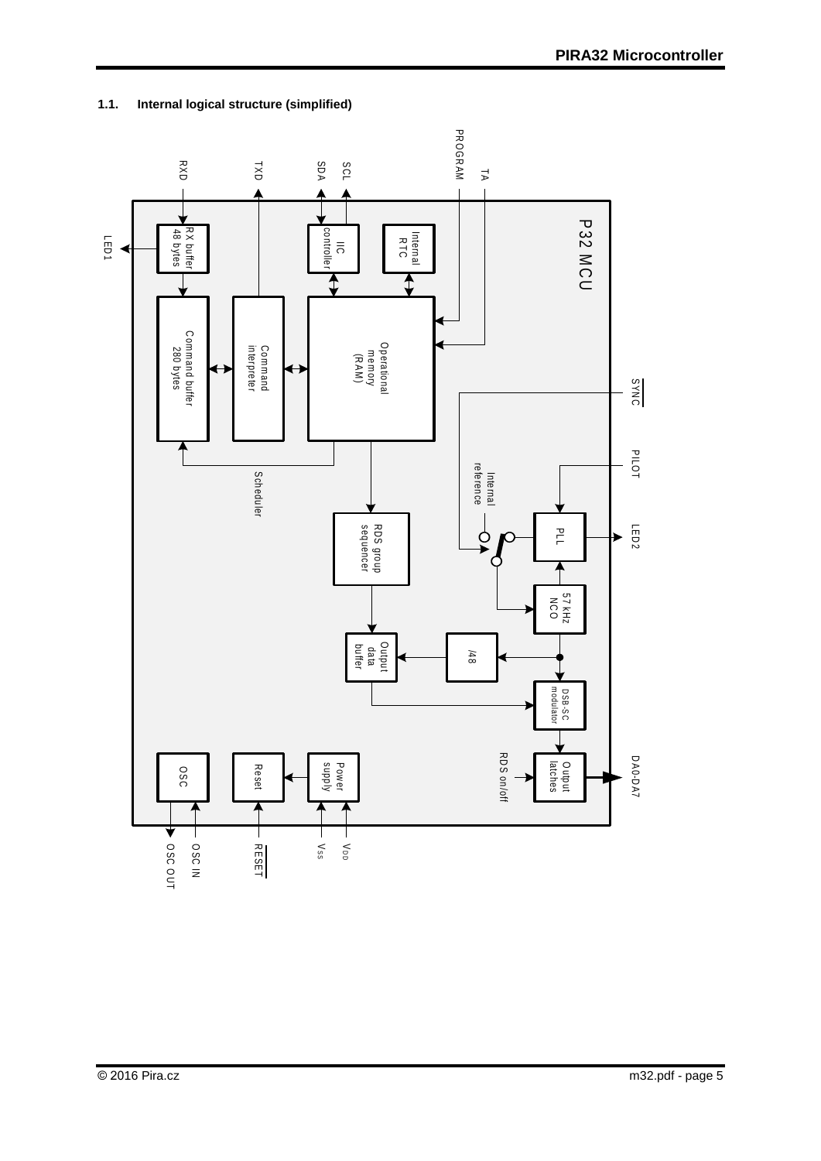

## <span id="page-4-0"></span>**1.1. Internal logical structure (simplified)**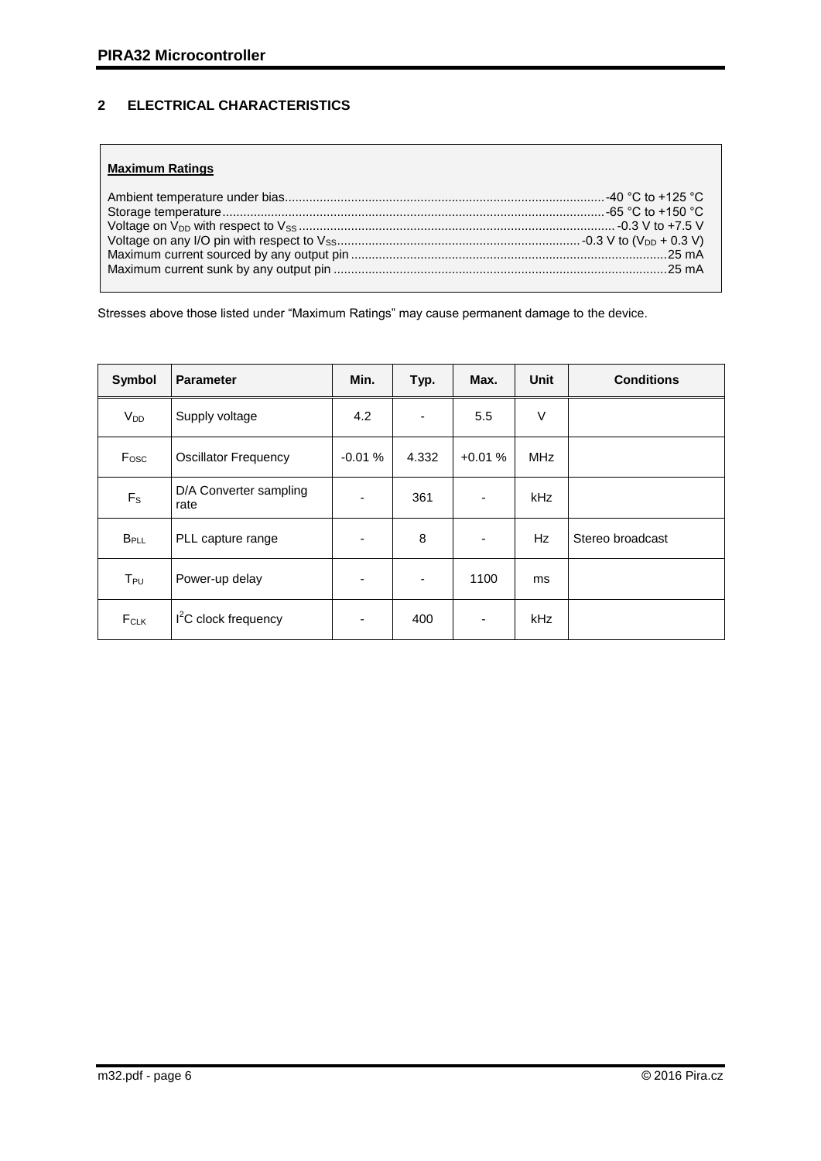## <span id="page-5-0"></span>**2 ELECTRICAL CHARACTERISTICS**

## **Maximum Ratings**

Stresses above those listed under "Maximum Ratings" may cause permanent damage to the device.

| Symbol                              | <b>Parameter</b>               | Min.                     | Typ.  | Max.     | <b>Unit</b> | <b>Conditions</b> |
|-------------------------------------|--------------------------------|--------------------------|-------|----------|-------------|-------------------|
| $V_{DD}$                            | Supply voltage                 | 4.2                      | ٠     | 5.5      | V           |                   |
| Fosc<br><b>Oscillator Frequency</b> |                                | $-0.01%$                 | 4.332 | $+0.01%$ | <b>MHz</b>  |                   |
| $F_S$                               | D/A Converter sampling<br>rate | ٠                        | 361   |          | kHz         |                   |
| <b>B</b> <sub>PLL</sub>             | PLL capture range              | $\overline{\phantom{a}}$ | 8     | -        | Hz          | Stereo broadcast  |
| $T_{PU}$                            | Power-up delay                 |                          | ۰     | 1100     | ms          |                   |
| FCLK                                | $I2C$ clock frequency          | ۰                        | 400   |          | kHz         |                   |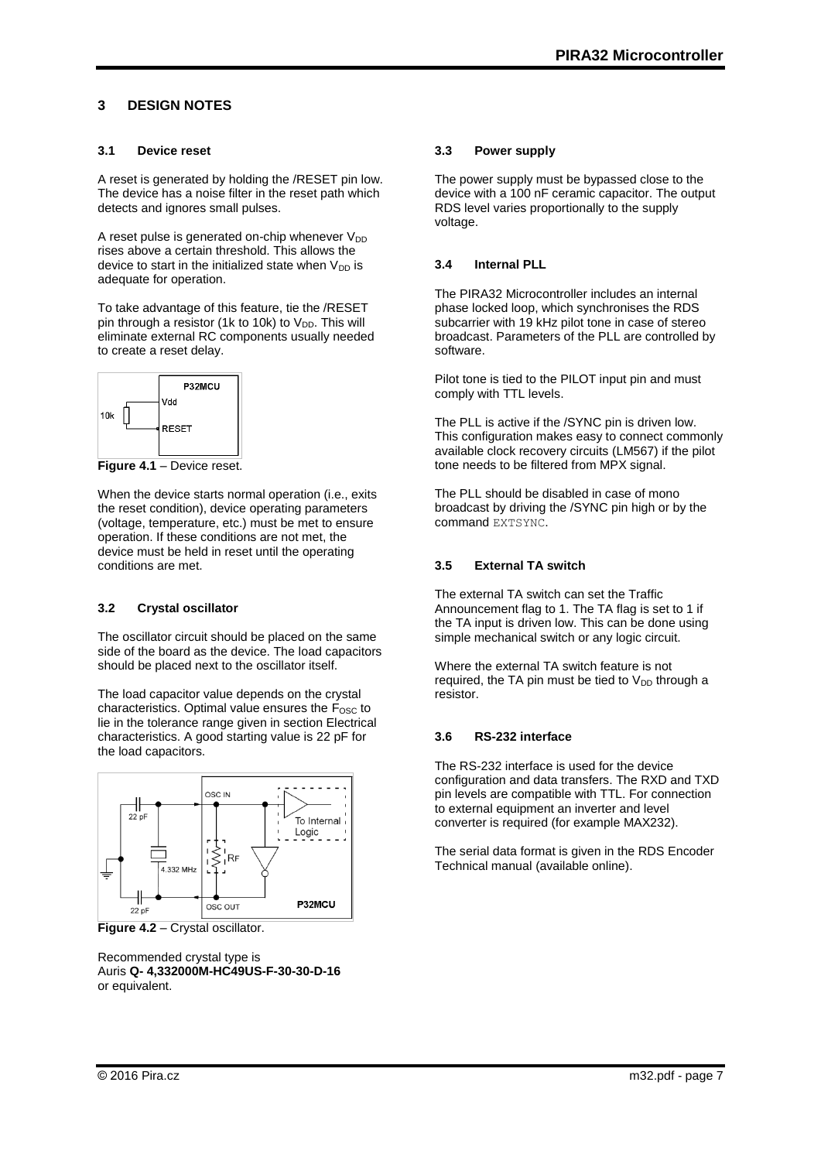## <span id="page-6-0"></span>**3 DESIGN NOTES**

#### <span id="page-6-1"></span>**3.1 Device reset**

A reset is generated by holding the /RESET pin low. The device has a noise filter in the reset path which detects and ignores small pulses.

A reset pulse is generated on-chip whenever  $V_{DD}$ rises above a certain threshold. This allows the device to start in the initialized state when  $V_{DD}$  is adequate for operation.

To take advantage of this feature, tie the /RESET pin through a resistor (1k to 10k) to  $V_{DD}$ . This will eliminate external RC components usually needed to create a reset delay.



**Figure 4.1** – Device reset.

When the device starts normal operation (i.e., exits the reset condition), device operating parameters (voltage, temperature, etc.) must be met to ensure operation. If these conditions are not met, the device must be held in reset until the operating conditions are met.

#### <span id="page-6-2"></span>**3.2 Crystal oscillator**

The oscillator circuit should be placed on the same side of the board as the device. The load capacitors should be placed next to the oscillator itself.

The load capacitor value depends on the crystal characteristics. Optimal value ensures the  $F_{\text{OSC}}$  to lie in the tolerance range given in section Electrical characteristics. A good starting value is 22 pF for the load capacitors.



**Figure 4.2 – Crystal oscillator.** 

Recommended crystal type is Auris **Q- 4,332000M-HC49US-F-30-30-D-16** or equivalent.

#### <span id="page-6-3"></span>**3.3 Power supply**

The power supply must be bypassed close to the device with a 100 nF ceramic capacitor. The output RDS level varies proportionally to the supply voltage.

## <span id="page-6-4"></span>**3.4 Internal PLL**

The PIRA32 Microcontroller includes an internal phase locked loop, which synchronises the RDS subcarrier with 19 kHz pilot tone in case of stereo broadcast. Parameters of the PLL are controlled by software.

Pilot tone is tied to the PILOT input pin and must comply with TTL levels.

The PLL is active if the /SYNC pin is driven low. This configuration makes easy to connect commonly available clock recovery circuits (LM567) if the pilot tone needs to be filtered from MPX signal.

The PLL should be disabled in case of mono broadcast by driving the /SYNC pin high or by the command EXTSYNC.

## <span id="page-6-5"></span>**3.5 External TA switch**

The external TA switch can set the Traffic Announcement flag to 1. The TA flag is set to 1 if the TA input is driven low. This can be done using simple mechanical switch or any logic circuit.

Where the external TA switch feature is not required, the TA pin must be tied to  $V_{DD}$  through a resistor.

## <span id="page-6-6"></span>**3.6 RS-232 interface**

The RS-232 interface is used for the device configuration and data transfers. The RXD and TXD pin levels are compatible with TTL. For connection to external equipment an inverter and level converter is required (for example MAX232).

The serial data format is given in the RDS Encoder Technical manual (available online).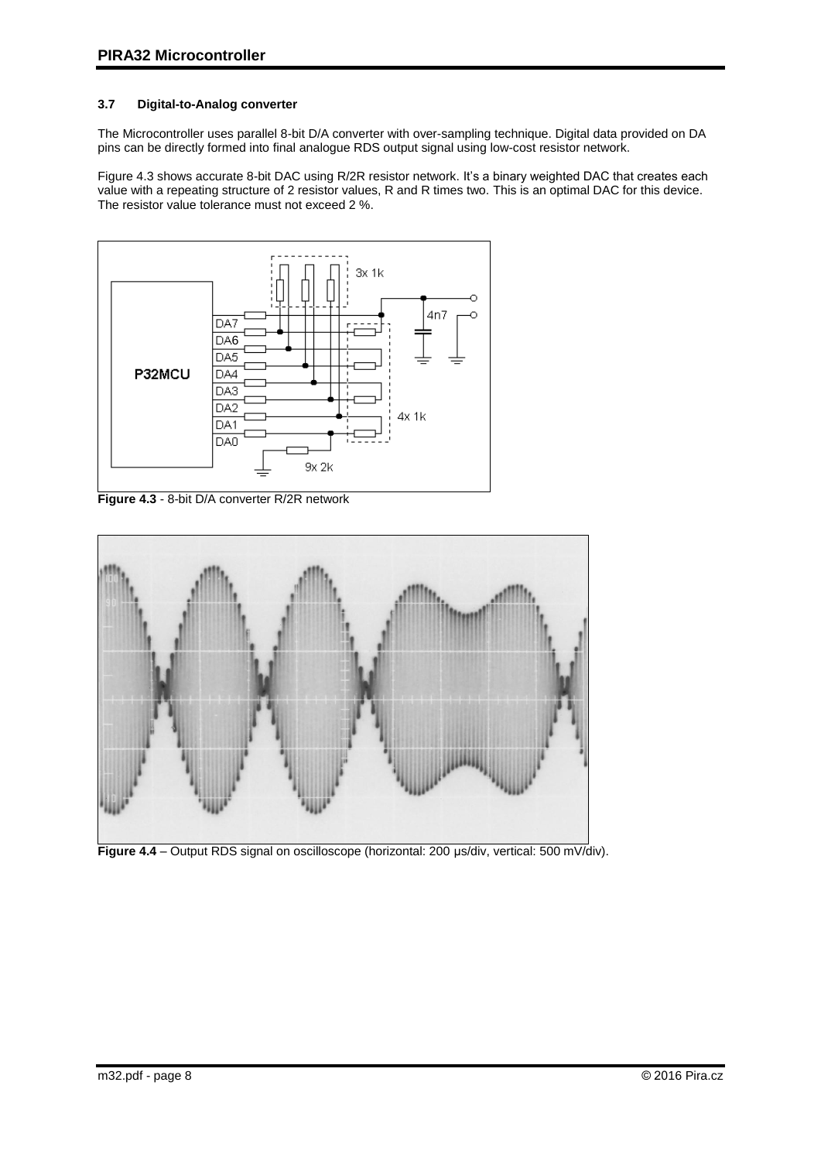## <span id="page-7-0"></span>**3.7 Digital-to-Analog converter**

The Microcontroller uses parallel 8-bit D/A converter with over-sampling technique. Digital data provided on DA pins can be directly formed into final analogue RDS output signal using low-cost resistor network.

Figure 4.3 shows accurate 8-bit DAC using R/2R resistor network. It's a binary weighted DAC that creates each value with a repeating structure of 2 resistor values, R and R times two. This is an optimal DAC for this device. The resistor value tolerance must not exceed 2 %.



**Figure 4.3** - 8-bit D/A converter R/2R network



**Figure 4.4** – Output RDS signal on oscilloscope (horizontal: 200 µs/div, vertical: 500 mV/div).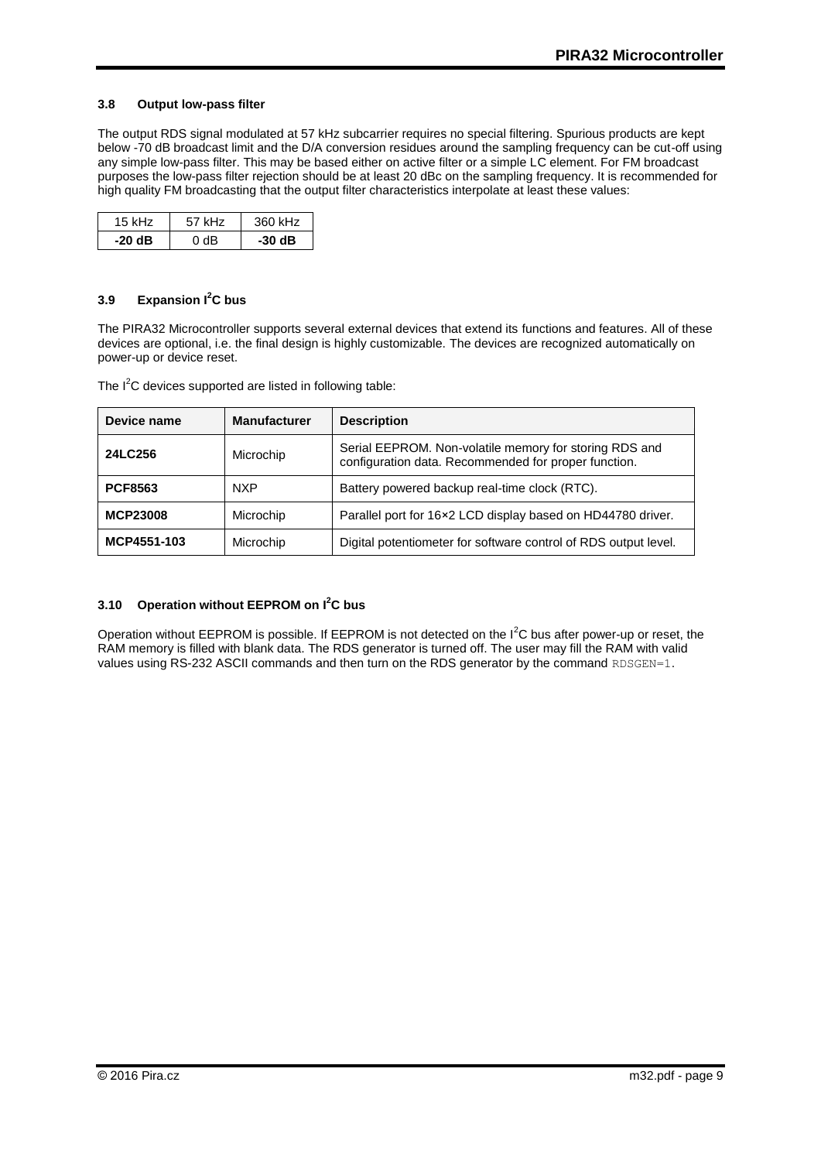#### <span id="page-8-0"></span>**3.8 Output low-pass filter**

The output RDS signal modulated at 57 kHz subcarrier requires no special filtering. Spurious products are kept below -70 dB broadcast limit and the D/A conversion residues around the sampling frequency can be cut-off using any simple low-pass filter. This may be based either on active filter or a simple LC element. For FM broadcast purposes the low-pass filter rejection should be at least 20 dBc on the sampling frequency. It is recommended for high quality FM broadcasting that the output filter characteristics interpolate at least these values:

| 15 kHz | 57 kHz | 360 kHz |  |
|--------|--------|---------|--|
| -20 dB | 0 YB   | -30 dB  |  |

#### <span id="page-8-1"></span>**3.9 Expansion I<sup>2</sup>C bus**

The PIRA32 Microcontroller supports several external devices that extend its functions and features. All of these devices are optional, i.e. the final design is highly customizable. The devices are recognized automatically on power-up or device reset.

The  $I^2C$  devices supported are listed in following table:

| Device name     | <b>Manufacturer</b><br><b>Description</b> |                                                                                                                |  |  |
|-----------------|-------------------------------------------|----------------------------------------------------------------------------------------------------------------|--|--|
| 24LC256         | Microchip                                 | Serial EEPROM. Non-volatile memory for storing RDS and<br>configuration data. Recommended for proper function. |  |  |
| <b>PCF8563</b>  | <b>NXP</b>                                | Battery powered backup real-time clock (RTC).                                                                  |  |  |
| <b>MCP23008</b> | Microchip                                 | Parallel port for 16×2 LCD display based on HD44780 driver.                                                    |  |  |
| MCP4551-103     | Microchip                                 | Digital potentiometer for software control of RDS output level.                                                |  |  |

#### <span id="page-8-2"></span>**3.10 Operation without EEPROM on I<sup>2</sup>C bus**

Operation without EEPROM is possible. If EEPROM is not detected on the  $I^2C$  bus after power-up or reset, the RAM memory is filled with blank data. The RDS generator is turned off. The user may fill the RAM with valid values using RS-232 ASCII commands and then turn on the RDS generator by the command RDSGEN=1.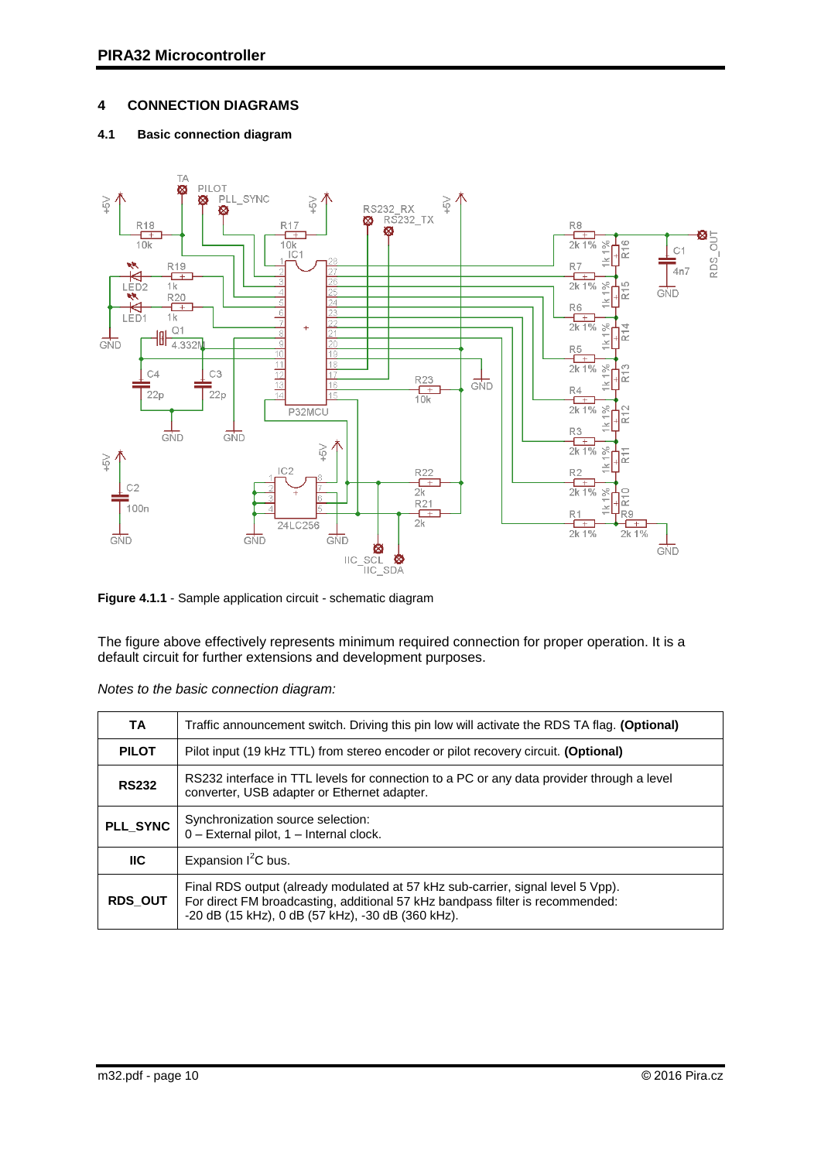## <span id="page-9-0"></span>**4 CONNECTION DIAGRAMS**

## <span id="page-9-1"></span>**4.1 Basic connection diagram**



**Figure 4.1.1** - Sample application circuit - schematic diagram

The figure above effectively represents minimum required connection for proper operation. It is a default circuit for further extensions and development purposes.

| TA             | Traffic announcement switch. Driving this pin low will activate the RDS TA flag. (Optional)                                                                                                                           |  |  |  |  |
|----------------|-----------------------------------------------------------------------------------------------------------------------------------------------------------------------------------------------------------------------|--|--|--|--|
| <b>PILOT</b>   | Pilot input (19 kHz TTL) from stereo encoder or pilot recovery circuit. (Optional)                                                                                                                                    |  |  |  |  |
| <b>RS232</b>   | RS232 interface in TTL levels for connection to a PC or any data provider through a level<br>converter, USB adapter or Ethernet adapter.                                                                              |  |  |  |  |
| PLL_SYNC       | Synchronization source selection:<br>0 - External pilot, 1 - Internal clock.                                                                                                                                          |  |  |  |  |
| <b>IIC</b>     | Expansion $I^2C$ bus.                                                                                                                                                                                                 |  |  |  |  |
| <b>RDS OUT</b> | Final RDS output (already modulated at 57 kHz sub-carrier, signal level 5 Vpp).<br>For direct FM broadcasting, additional 57 kHz bandpass filter is recommended:<br>-20 dB (15 kHz), 0 dB (57 kHz), -30 dB (360 kHz). |  |  |  |  |

|  |  | Notes to the basic connection diagram: |  |
|--|--|----------------------------------------|--|
|  |  |                                        |  |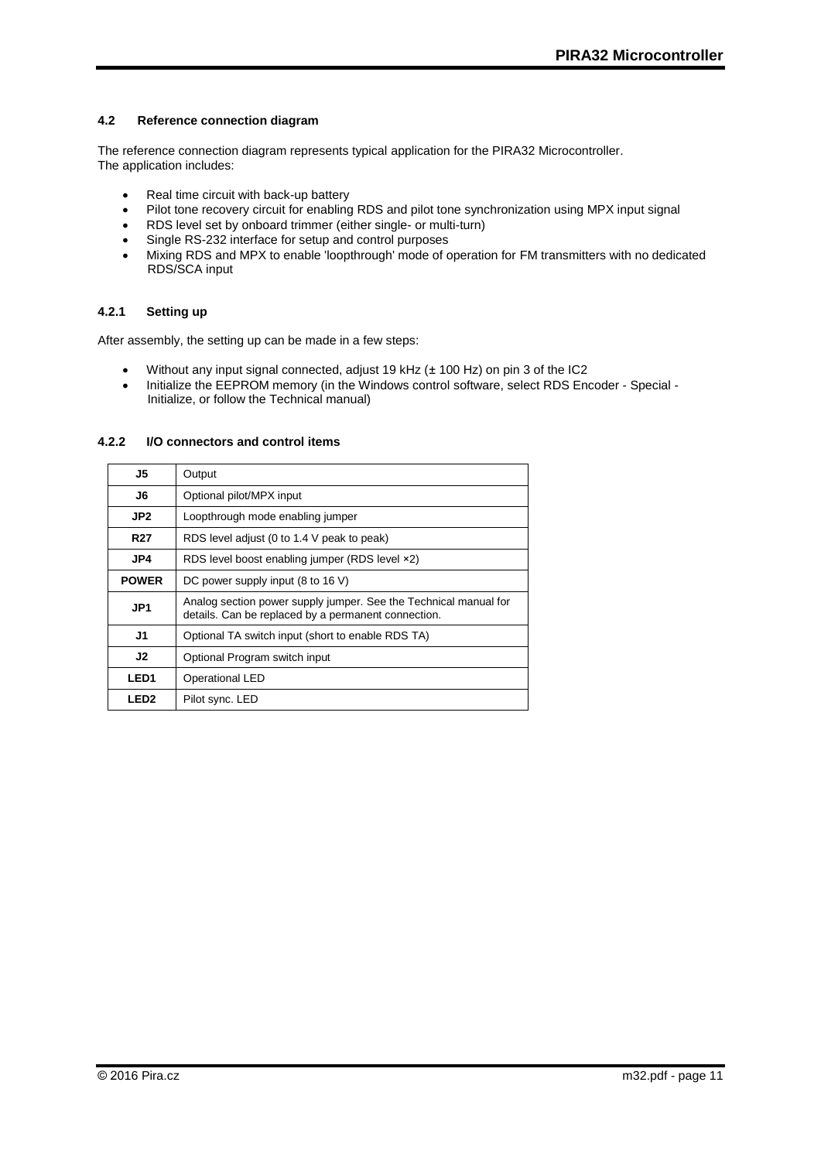#### <span id="page-10-0"></span>**4.2 Reference connection diagram**

The reference connection diagram represents typical application for the PIRA32 Microcontroller. The application includes:

- Real time circuit with back-up battery
- Pilot tone recovery circuit for enabling RDS and pilot tone synchronization using MPX input signal
- RDS level set by onboard trimmer (either single- or multi-turn)
- Single RS-232 interface for setup and control purposes
- Mixing RDS and MPX to enable 'loopthrough' mode of operation for FM transmitters with no dedicated RDS/SCA input

#### <span id="page-10-1"></span>**4.2.1 Setting up**

After assembly, the setting up can be made in a few steps:

- Without any input signal connected, adjust 19 kHz (± 100 Hz) on pin 3 of the IC2
- Initialize the EEPROM memory (in the Windows control software, select RDS Encoder Special -Initialize, or follow the Technical manual)

#### <span id="page-10-2"></span>**4.2.2 I/O connectors and control items**

| J5               | Output                                                                                                                  |  |  |
|------------------|-------------------------------------------------------------------------------------------------------------------------|--|--|
| J6               | Optional pilot/MPX input                                                                                                |  |  |
| JP <sub>2</sub>  | Loopthrough mode enabling jumper                                                                                        |  |  |
| <b>R27</b>       | RDS level adjust (0 to 1.4 V peak to peak)                                                                              |  |  |
| JP4              | RDS level boost enabling jumper (RDS level ×2)                                                                          |  |  |
| <b>POWER</b>     | DC power supply input (8 to 16 V)                                                                                       |  |  |
| JP <sub>1</sub>  | Analog section power supply jumper. See the Technical manual for<br>details. Can be replaced by a permanent connection. |  |  |
| J1               | Optional TA switch input (short to enable RDS TA)                                                                       |  |  |
| J2               | Optional Program switch input                                                                                           |  |  |
| LED <sub>1</sub> | Operational LED                                                                                                         |  |  |
| LED <sub>2</sub> | Pilot sync. LED                                                                                                         |  |  |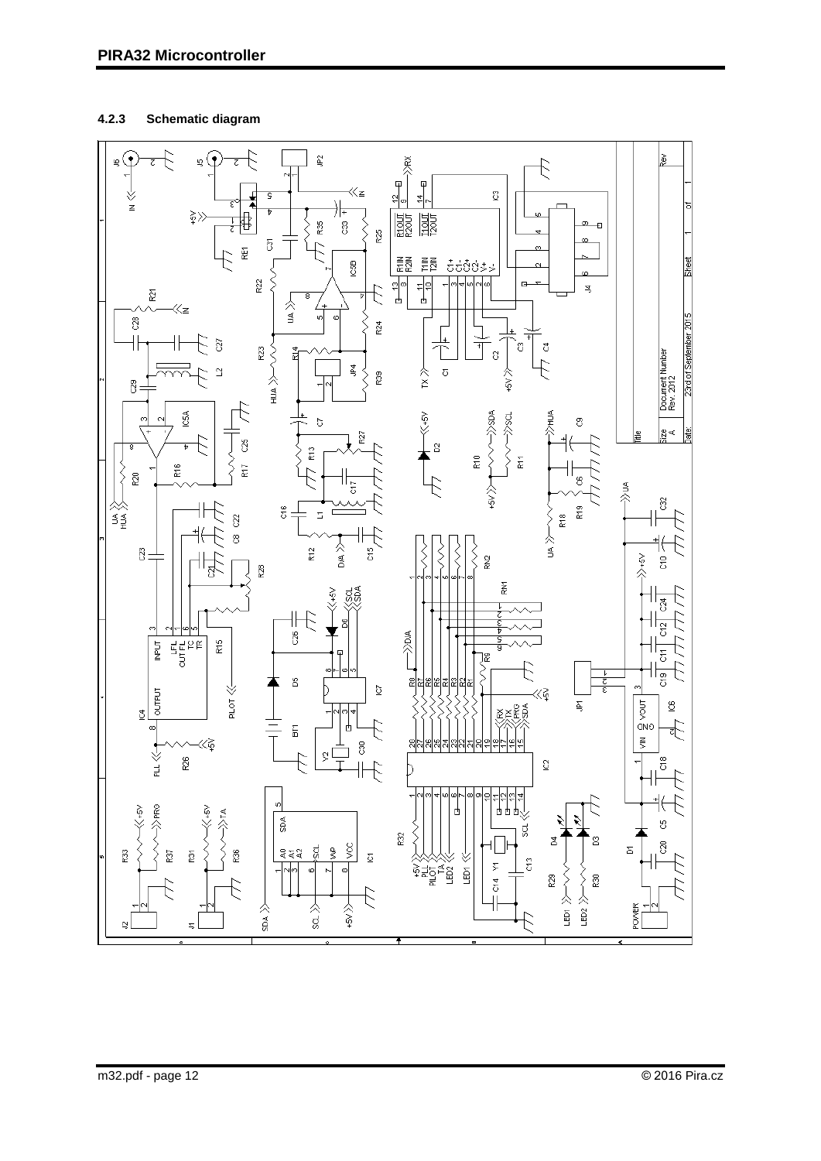## <span id="page-11-0"></span>**4.2.3 Schematic diagram**

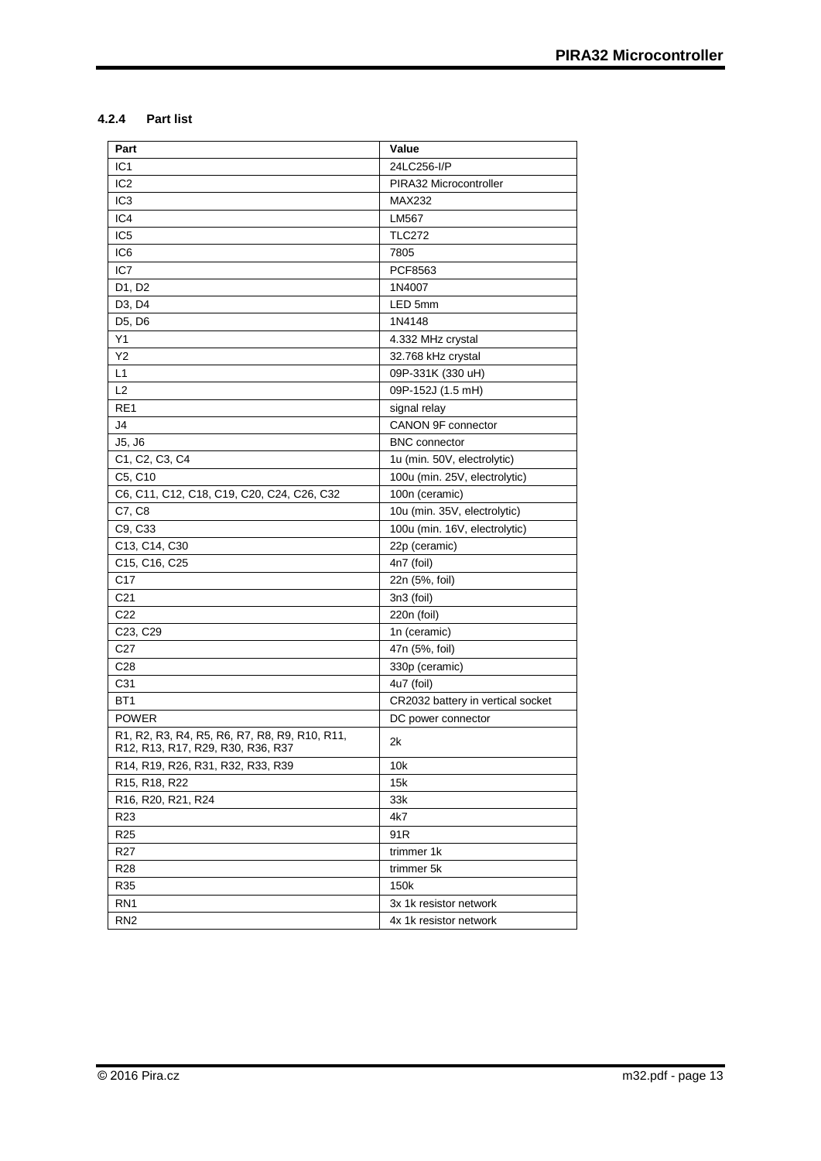## <span id="page-12-0"></span>**4.2.4 Part list**

| Part                                                                               | Value                             |
|------------------------------------------------------------------------------------|-----------------------------------|
| IC <sub>1</sub>                                                                    | 24LC256-I/P                       |
| IC <sub>2</sub>                                                                    | PIRA32 Microcontroller            |
| IC <sub>3</sub>                                                                    | MAX232                            |
| IC4                                                                                | LM567                             |
| IC <sub>5</sub>                                                                    | <b>TLC272</b>                     |
| IC6                                                                                | 7805                              |
| IC7                                                                                | PCF8563                           |
| D1, D2                                                                             | 1N4007                            |
| D <sub>3</sub> , D <sub>4</sub>                                                    | LED 5mm                           |
| D5, D6                                                                             | 1N4148                            |
| Υ1                                                                                 | 4.332 MHz crystal                 |
| Υ2                                                                                 | 32.768 kHz crystal                |
| L1                                                                                 | 09P-331K (330 uH)                 |
| L2                                                                                 | 09P-152J (1.5 mH)                 |
| RE1                                                                                | signal relay                      |
| J4                                                                                 | CANON 9F connector                |
| J5, J6                                                                             | <b>BNC</b> connector              |
| C <sub>1</sub> , C <sub>2</sub> , C <sub>3</sub> , C <sub>4</sub>                  | 1u (min. 50V, electrolytic)       |
| C5, C10                                                                            | 100u (min. 25V, electrolytic)     |
| C6, C11, C12, C18, C19, C20, C24, C26, C32                                         | 100n (ceramic)                    |
| C7, C8                                                                             | 10u (min. 35V, electrolytic)      |
| C9, C33                                                                            | 100u (min. 16V, electrolytic)     |
| C13, C14, C30                                                                      | 22p (ceramic)                     |
| C <sub>15</sub> , C <sub>16</sub> , C <sub>25</sub>                                | 4n7 (foil)                        |
| C17                                                                                | 22n (5%, foil)                    |
| C <sub>21</sub>                                                                    | 3n3 (foil)                        |
| C <sub>22</sub>                                                                    | 220n (foil)                       |
| C <sub>23</sub> , C <sub>29</sub>                                                  | 1n (ceramic)                      |
| C <sub>27</sub>                                                                    | 47n (5%, foil)                    |
| C <sub>28</sub>                                                                    | 330p (ceramic)                    |
| C31                                                                                | 4u7 (foil)                        |
| BT1                                                                                | CR2032 battery in vertical socket |
| <b>POWER</b>                                                                       | DC power connector                |
| R1, R2, R3, R4, R5, R6, R7, R8, R9, R10, R11,<br>R12, R13, R17, R29, R30, R36, R37 | 2k                                |
| R14, R19, R26, R31, R32, R33, R39                                                  | 10k                               |
| R15, R18, R22                                                                      | 15k                               |
| R16, R20, R21, R24                                                                 | 33k                               |
| R <sub>23</sub>                                                                    | 4k7                               |
| R <sub>25</sub>                                                                    | 91R                               |
| R <sub>27</sub>                                                                    | trimmer 1k                        |
| R <sub>28</sub>                                                                    | trimmer 5k                        |
| R35                                                                                | 150k                              |
| RN <sub>1</sub>                                                                    | 3x 1k resistor network            |
| RN <sub>2</sub>                                                                    | 4x 1k resistor network            |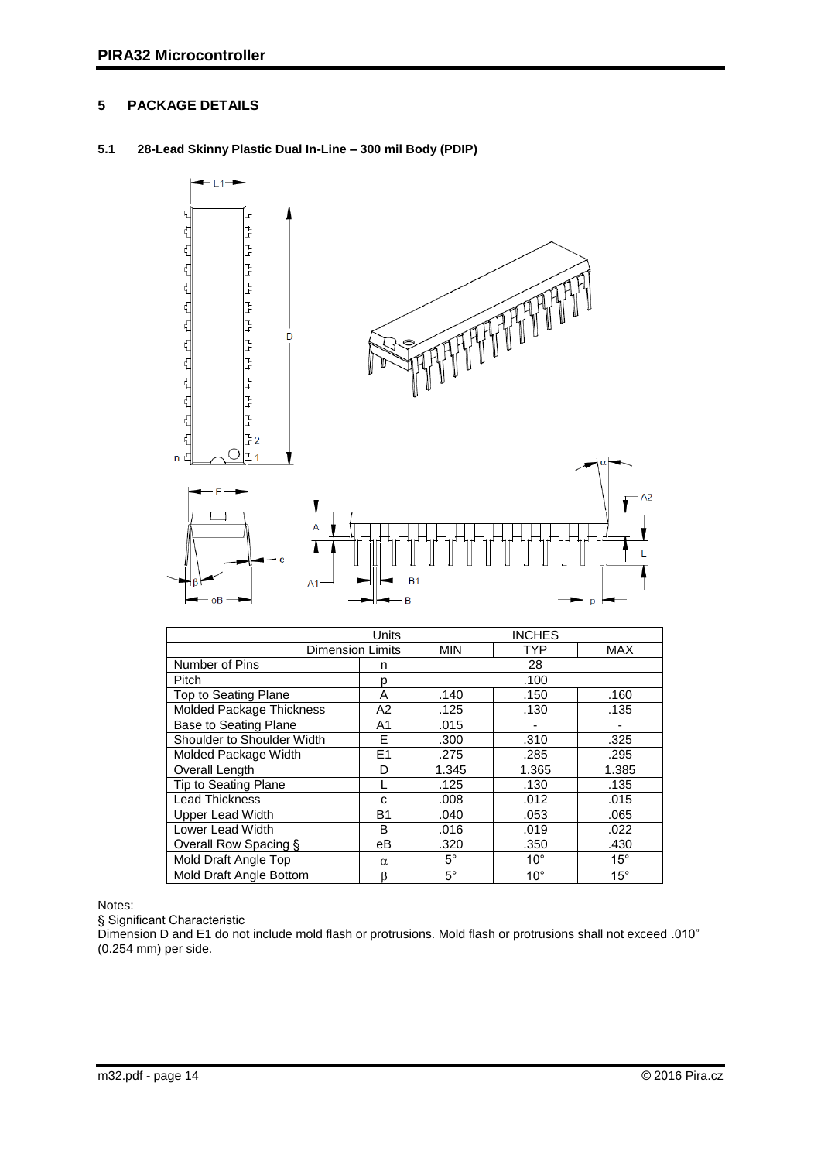## <span id="page-13-0"></span>**5 PACKAGE DETAILS**

## <span id="page-13-1"></span>**5.1 28-Lead Skinny Plastic Dual In-Line – 300 mil Body (PDIP)**



|                              | <b>INCHES</b>  |             |              |              |  |  |  |
|------------------------------|----------------|-------------|--------------|--------------|--|--|--|
| <b>Dimension Limits</b>      | <b>MIN</b>     | <b>TYP</b>  | <b>MAX</b>   |              |  |  |  |
| Number of Pins               | n              | 28          |              |              |  |  |  |
| Pitch                        | D              |             | .100         |              |  |  |  |
| Top to Seating Plane         | A              | .140        | .150         | .160         |  |  |  |
| Molded Package Thickness     | A2             | .125        | .130         | .135         |  |  |  |
| <b>Base to Seating Plane</b> | A <sub>1</sub> | .015        |              |              |  |  |  |
| Shoulder to Shoulder Width   | F              | .300        | .310         | .325         |  |  |  |
| Molded Package Width         | E <sub>1</sub> | .275        | .285         | .295         |  |  |  |
| Overall Length               | D              | 1.345       | 1.365        | 1.385        |  |  |  |
| Tip to Seating Plane         |                | .125        | .130         | .135         |  |  |  |
| <b>Lead Thickness</b>        | C              | .008        | .012         | .015         |  |  |  |
| Upper Lead Width             | B1             | .040        | .053         | .065         |  |  |  |
| Lower Lead Width             | B              | .016        | .019         | .022         |  |  |  |
| Overall Row Spacing §        | eВ             | .320        | .350         | .430         |  |  |  |
| Mold Draft Angle Top         |                | $5^{\circ}$ | $10^{\circ}$ | $15^{\circ}$ |  |  |  |
| Mold Draft Angle Bottom<br>β |                | $5^{\circ}$ | $10^{\circ}$ | $15^{\circ}$ |  |  |  |

Notes:

§ Significant Characteristic

Dimension D and E1 do not include mold flash or protrusions. Mold flash or protrusions shall not exceed .010" (0.254 mm) per side.